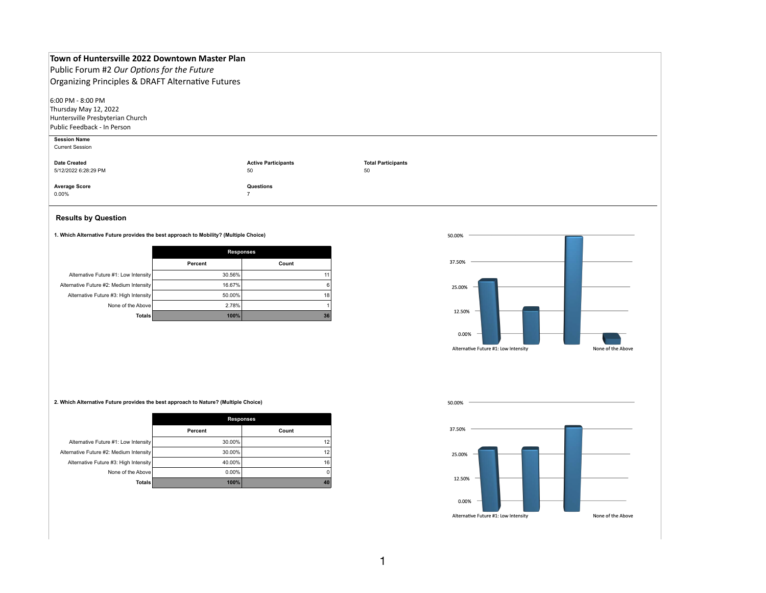## **Town of Huntersville 2022 Downtown Master Plan**

Public Forum #2 *Our Options for the Future* Organizing Principles & DRAFT Alternative Futures

 $6:00$  PM - 8:00 PM Thursday May 12, 2022 Huntersville Presbyterian Church Public Feedback - In Person

## **Results by Question**

**1. Which Alternative Future provides the best approach to Mobility? (Multiple Choice)**

|                                         | <b>Responses</b> |       |
|-----------------------------------------|------------------|-------|
|                                         | <b>Percent</b>   | Count |
| Alternative Future #1: Low Intensity    | 30.56%           | 11    |
| Alternative Future #2: Medium Intensity | 16.67%           | 6     |
| Alternative Future #3: High Intensity   | 50.00%           | 18    |
| None of the Above                       | 2.78%            |       |
| <b>Totals</b>                           | 100%             | 36    |

50.00%

37.50%

25.00%

**2. Which Alternative Future provides the best approach to Nature? (Multiple Choice)**

|                                         | <b>Responses</b> |       |
|-----------------------------------------|------------------|-------|
|                                         | <b>Percent</b>   | Count |
| Alternative Future #1: Low Intensity    | $30.00\%$        | 12    |
| Alternative Future #2: Medium Intensity | $30.00\%$        | 12    |
| Alternative Future #3: High Intensity   | 40.00%           | 16    |
| None of the Above                       | $0.00\%$         | 0     |
| <b>Totals</b>                           | 100%             | 40    |

50.00%

37.50%

25.00%

12.50%

 $0.00\%$ 

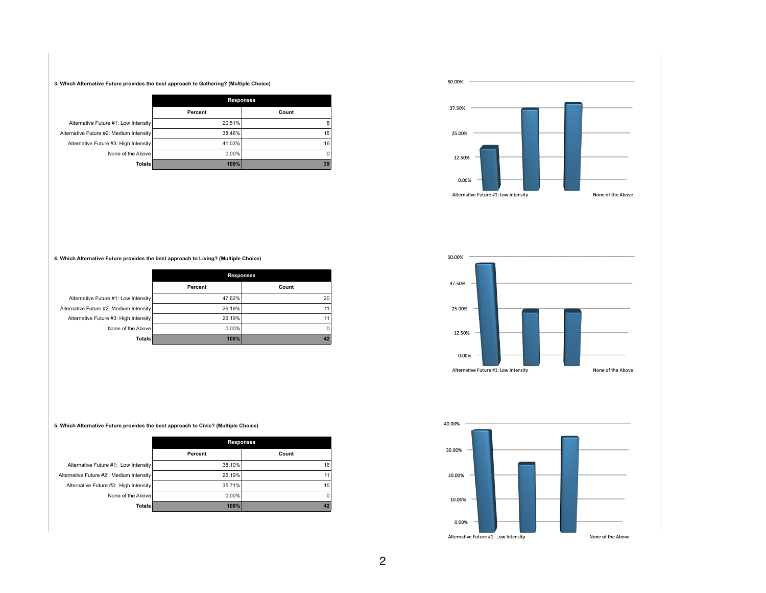3. Which Alternative Future provides the best approach to Gathering? (Multiple Choice)

|                                         | <b>Responses</b> |       |
|-----------------------------------------|------------------|-------|
|                                         | <b>Percent</b>   | Count |
| Alternative Future #1: Low Intensity    | 20.51%           | ε     |
| Alternative Future #2: Medium Intensity | 38.46%           | 15    |
| Alternative Future #3: High Intensity   | 41.03%           | 16    |
| None of the Above                       | $0.00\%$         | C     |
| Totals                                  | 100%             | 39    |

12.50%

4. Which Alternative Future provides the best approach to Living? (Multiple Choice)

|                                         | <b>Responses</b> |       |
|-----------------------------------------|------------------|-------|
|                                         | <b>Percent</b>   | Count |
| Alternative Future #1: Low Intensity    | 47.62%           | 20    |
| Alternative Future #2: Medium Intensity | 26.19%           | 11    |
| Alternative Future #3: High Intensity   | 26.19%           | 11    |
| None of the Above                       | $0.00\%$         | 0     |
| Totals                                  | 100%             | 42    |

5. Which Alternative Future provides the best approach to Civic? (Multiple Choice)

|                                         | <b>Responses</b> |                |
|-----------------------------------------|------------------|----------------|
|                                         | <b>Percent</b>   | Count          |
| Alternative Future #1: Low Intensity    | 38.10%           | 16             |
| Alternative Future #2: Medium Intensity | 26.19%           | 11             |
| Alternative Future #3: High Intensity   | 35.71%           | 15             |
| None of the Above                       | $0.00\%$         | $\overline{0}$ |
| Totals                                  | 100%             |                |

50.00%

37.50%

25.00%

12.50%

0.00%

40.00%

30.00%

20.00%

10.00%

0.00%

50.00%

37.50%

25.00%